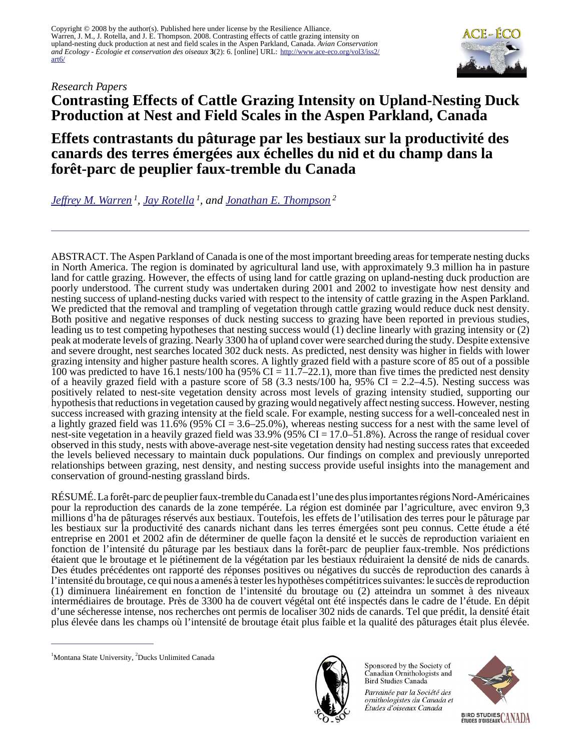#### *Research Papers*



# **Contrasting Effects of Cattle Grazing Intensity on Upland-Nesting Duck Production at Nest and Field Scales in the Aspen Parkland, Canada**

# **Effets contrastants du pâturage par les bestiaux sur la productivité des canards des terres émergées aux échelles du nid et du champ dans la forêt-parc de peuplier faux-tremble du Canada**

*[Jeffrey M. Warren](mailto:jeffrey_warren@fws.gov)<sup>1</sup> , [Jay Rotella](mailto:rotella@montana.edu)<sup>1</sup>, and [Jonathan E. Thompson](mailto:j_thompson@ducks.ca)<sup>2</sup>*

ABSTRACT. The Aspen Parkland of Canada is one of the most important breeding areas for temperate nesting ducks in North America. The region is dominated by agricultural land use, with approximately 9.3 million ha in pasture land for cattle grazing. However, the effects of using land for cattle grazing on upland-nesting duck production are poorly understood. The current study was undertaken during 2001 and 2002 to investigate how nest density and nesting success of upland-nesting ducks varied with respect to the intensity of cattle grazing in the Aspen Parkland. We predicted that the removal and trampling of vegetation through cattle grazing would reduce duck nest density. Both positive and negative responses of duck nesting success to grazing have been reported in previous studies, leading us to test competing hypotheses that nesting success would (1) decline linearly with grazing intensity or (2) peak at moderate levels of grazing. Nearly 3300 ha of upland cover were searched during the study. Despite extensive and severe drought, nest searches located 302 duck nests. As predicted, nest density was higher in fields with lower grazing intensity and higher pasture health scores. A lightly grazed field with a pasture score of 85 out of a possible 100 was predicted to have 16.1 nests/100 ha (95% CI = 11.7–22.1), more than five times the predicted nest density of a heavily grazed field with a pasture score of 58 (3.3 nests/100 ha, 95% CI = 2.2–4.5). Nesting success was positively related to nest-site vegetation density across most levels of grazing intensity studied, supporting our hypothesis that reductions in vegetation caused by grazing would negatively affect nesting success. However, nesting success increased with grazing intensity at the field scale. For example, nesting success for a well-concealed nest in a lightly grazed field was  $11.6\%$  (95% CI = 3.6–25.0%), whereas nesting success for a nest with the same level of nest-site vegetation in a heavily grazed field was 33.9% (95% CI = 17.0–51.8%). Across the range of residual cover observed in this study, nests with above-average nest-site vegetation density had nesting success rates that exceeded the levels believed necessary to maintain duck populations. Our findings on complex and previously unreported relationships between grazing, nest density, and nesting success provide useful insights into the management and conservation of ground-nesting grassland birds.

RÉSUMÉ. La forêt-parc de peuplier faux-tremble du Canada est l'une des plus importantes régions Nord-Américaines pour la reproduction des canards de la zone tempérée. La région est dominée par l'agriculture, avec environ 9,3 millions d'ha de pâturages réservés aux bestiaux. Toutefois, les effets de l'utilisation des terres pour le pâturage par les bestiaux sur la productivité des canards nichant dans les terres émergées sont peu connus. Cette étude a été entreprise en 2001 et 2002 afin de déterminer de quelle façon la densité et le succès de reproduction variaient en fonction de l'intensité du pâturage par les bestiaux dans la forêt-parc de peuplier faux-tremble. Nos prédictions étaient que le broutage et le piétinement de la végétation par les bestiaux réduiraient la densité de nids de canards. Des études précédentes ont rapporté des réponses positives ou négatives du succès de reproduction des canards à l'intensité du broutage, ce qui nous a amenés à tester les hypothèses compétitrices suivantes: le succès de reproduction (1) diminuera linéairement en fonction de l'intensité du broutage ou (2) atteindra un sommet à des niveaux intermédiaires de broutage. Près de 3300 ha de couvert végétal ont été inspectés dans le cadre de l'étude. En dépit d'une sécheresse intense, nos recherches ont permis de localiser 302 nids de canards. Tel que prédit, la densité était plus élevée dans les champs où l'intensité de broutage était plus faible et la qualité des pâturages était plus élevée.



Sponsored by the Society of Canadian Ornithologists and Bird Studies Canada

Parrainée par la Société des ornithologistes du Canada et Études d'oiseaux Canada



<sup>&</sup>lt;sup>1</sup>Montana State University, <sup>2</sup>Ducks Unlimited Canada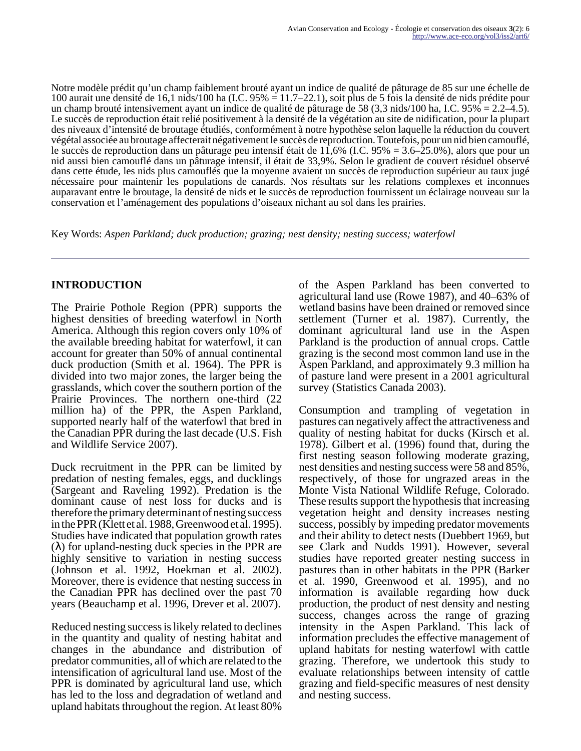Notre modèle prédit qu'un champ faiblement brouté ayant un indice de qualité de pâturage de 85 sur une échelle de 100 aurait une densité de 16,1 nids/100 ha (I.C. 95% = 11.7–22.1), soit plus de 5 fois la densité de nids prédite pour un champ brouté intensivement ayant un indice de qualité de pâturage de 58 (3,3 nids/100 ha, I.C.  $95\% = 2.2 - 4.5$ ). Le succès de reproduction était relié positivement à la densité de la végétation au site de nidification, pour la plupart des niveaux d'intensité de broutage étudiés, conformément à notre hypothèse selon laquelle la réduction du couvert végétal associée au broutage affecterait négativement le succès de reproduction. Toutefois, pour un nid bien camouflé, le succès de reproduction dans un pâturage peu intensif était de 11,6% (I.C. 95% = 3.6–25.0%), alors que pour un nid aussi bien camouflé dans un pâturage intensif, il était de 33,9%. Selon le gradient de couvert résiduel observé dans cette étude, les nids plus camouflés que la moyenne avaient un succès de reproduction supérieur au taux jugé nécessaire pour maintenir les populations de canards. Nos résultats sur les relations complexes et inconnues auparavant entre le broutage, la densité de nids et le succès de reproduction fournissent un éclairage nouveau sur la conservation et l'aménagement des populations d'oiseaux nichant au sol dans les prairies.

Key Words: *Aspen Parkland; duck production; grazing; nest density; nesting success; waterfowl*

## **INTRODUCTION**

The Prairie Pothole Region (PPR) supports the highest densities of breeding waterfowl in North America. Although this region covers only 10% of the available breeding habitat for waterfowl, it can account for greater than 50% of annual continental duck production (Smith et al. 1964). The PPR is divided into two major zones, the larger being the grasslands, which cover the southern portion of the Prairie Provinces. The northern one-third (22 million ha) of the PPR, the Aspen Parkland, supported nearly half of the waterfowl that bred in the Canadian PPR during the last decade (U.S. Fish and Wildlife Service 2007).

Duck recruitment in the PPR can be limited by predation of nesting females, eggs, and ducklings (Sargeant and Raveling 1992). Predation is the dominant cause of nest loss for ducks and is therefore the primary determinant of nesting success in the PPR (Klett et al. 1988, Greenwood et al. 1995). Studies have indicated that population growth rates  $(\lambda)$  for upland-nesting duck species in the PPR are highly sensitive to variation in nesting success (Johnson et al. 1992, Hoekman et al. 2002). Moreover, there is evidence that nesting success in the Canadian PPR has declined over the past 70 years (Beauchamp et al. 1996, Drever et al. 2007).

Reduced nesting success is likely related to declines in the quantity and quality of nesting habitat and changes in the abundance and distribution of predator communities, all of which are related to the intensification of agricultural land use. Most of the PPR is dominated by agricultural land use, which has led to the loss and degradation of wetland and upland habitats throughout the region. At least 80%

of the Aspen Parkland has been converted to agricultural land use (Rowe 1987), and 40–63% of wetland basins have been drained or removed since settlement (Turner et al. 1987). Currently, the dominant agricultural land use in the Aspen Parkland is the production of annual crops. Cattle grazing is the second most common land use in the Aspen Parkland, and approximately 9.3 million ha of pasture land were present in a 2001 agricultural survey (Statistics Canada 2003).

Consumption and trampling of vegetation in pastures can negatively affect the attractiveness and quality of nesting habitat for ducks (Kirsch et al. 1978). Gilbert et al. (1996) found that, during the first nesting season following moderate grazing, nest densities and nesting success were 58 and 85%, respectively, of those for ungrazed areas in the Monte Vista National Wildlife Refuge, Colorado. These results support the hypothesis that increasing vegetation height and density increases nesting success, possibly by impeding predator movements and their ability to detect nests (Duebbert 1969, but see Clark and Nudds 1991). However, several studies have reported greater nesting success in pastures than in other habitats in the PPR (Barker et al. 1990, Greenwood et al. 1995), and no information is available regarding how duck production, the product of nest density and nesting success, changes across the range of grazing intensity in the Aspen Parkland. This lack of information precludes the effective management of upland habitats for nesting waterfowl with cattle grazing. Therefore, we undertook this study to evaluate relationships between intensity of cattle grazing and field-specific measures of nest density and nesting success.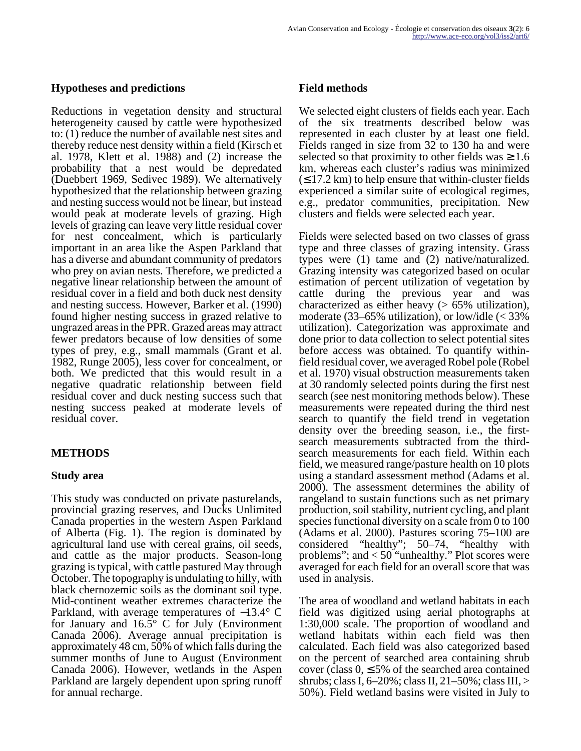#### **Hypotheses and predictions**

Reductions in vegetation density and structural heterogeneity caused by cattle were hypothesized to: (1) reduce the number of available nest sites and thereby reduce nest density within a field (Kirsch et al. 1978, Klett et al. 1988) and (2) increase the probability that a nest would be depredated (Duebbert 1969, Sedivec 1989). We alternatively hypothesized that the relationship between grazing and nesting success would not be linear, but instead would peak at moderate levels of grazing. High levels of grazing can leave very little residual cover for nest concealment, which is particularly important in an area like the Aspen Parkland that has a diverse and abundant community of predators who prey on avian nests. Therefore, we predicted a negative linear relationship between the amount of residual cover in a field and both duck nest density and nesting success. However, Barker et al. (1990) found higher nesting success in grazed relative to ungrazed areas in the PPR. Grazed areas may attract fewer predators because of low densities of some types of prey, e.g., small mammals (Grant et al. 1982, Runge 2005), less cover for concealment, or both. We predicted that this would result in a negative quadratic relationship between field residual cover and duck nesting success such that nesting success peaked at moderate levels of residual cover.

## **METHODS**

## **Study area**

This study was conducted on private pasturelands, provincial grazing reserves, and Ducks Unlimited Canada properties in the western Aspen Parkland of Alberta (Fig. 1). The region is dominated by agricultural land use with cereal grains, oil seeds, and cattle as the major products. Season-long grazing is typical, with cattle pastured May through October. The topography is undulating to hilly, with black chernozemic soils as the dominant soil type. Mid-continent weather extremes characterize the Parkland, with average temperatures of −13.4° C for January and  $16.5^{\circ}$  C for July (Environment Canada 2006). Average annual precipitation is approximately 48 cm, 50% of which falls during the summer months of June to August (Environment Canada 2006). However, wetlands in the Aspen Parkland are largely dependent upon spring runoff for annual recharge.

## **Field methods**

We selected eight clusters of fields each year. Each of the six treatments described below was represented in each cluster by at least one field. Fields ranged in size from 32 to 130 ha and were selected so that proximity to other fields was  $\geq 1.6$ km, whereas each cluster's radius was minimized  $(S 17.2 \text{ km})$  to help ensure that within-cluster fields experienced a similar suite of ecological regimes, e.g., predator communities, precipitation. New clusters and fields were selected each year.

Fields were selected based on two classes of grass type and three classes of grazing intensity. Grass types were (1) tame and (2) native/naturalized. Grazing intensity was categorized based on ocular estimation of percent utilization of vegetation by cattle during the previous year and was characterized as either heavy  $(> 65\%$  utilization), moderate  $(33-65\%$  utilization), or low/idle  $\ll 33\%$ utilization). Categorization was approximate and done prior to data collection to select potential sites before access was obtained. To quantify withinfield residual cover, we averaged Robel pole (Robel et al. 1970) visual obstruction measurements taken at 30 randomly selected points during the first nest search (see nest monitoring methods below). These measurements were repeated during the third nest search to quantify the field trend in vegetation density over the breeding season, i.e., the firstsearch measurements subtracted from the thirdsearch measurements for each field. Within each field, we measured range/pasture health on 10 plots using a standard assessment method (Adams et al. 2000). The assessment determines the ability of rangeland to sustain functions such as net primary production, soil stability, nutrient cycling, and plant species functional diversity on a scale from 0 to 100 (Adams et al. 2000). Pastures scoring 75–100 are considered "healthy"; 50–74, "healthy with problems"; and  $< 50$  "unhealthy." Plot scores were averaged for each field for an overall score that was used in analysis.

The area of woodland and wetland habitats in each field was digitized using aerial photographs at 1:30,000 scale. The proportion of woodland and wetland habitats within each field was then calculated. Each field was also categorized based on the percent of searched area containing shrub cover (class  $0, \leq 5\%$  of the searched area contained shrubs; class I, 6–20%; class II, 21–50%; class III, > 50%). Field wetland basins were visited in July to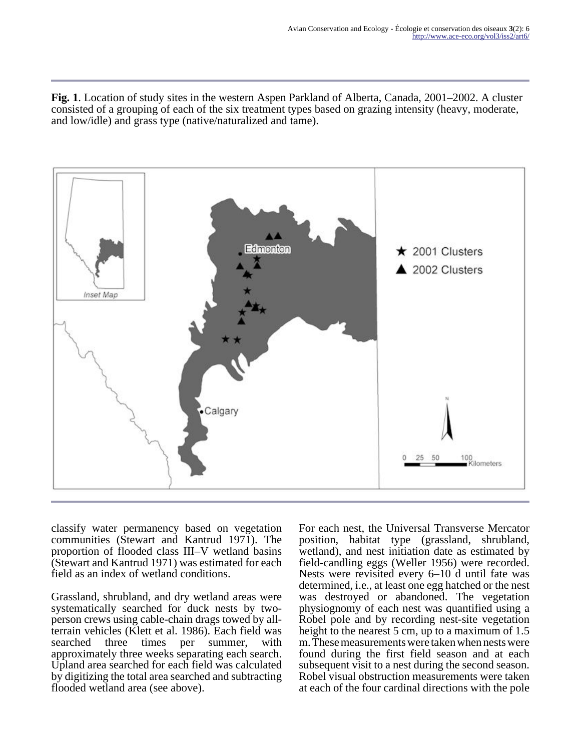**Fig. 1**. Location of study sites in the western Aspen Parkland of Alberta, Canada, 2001–2002. A cluster consisted of a grouping of each of the six treatment types based on grazing intensity (heavy, moderate, and low/idle) and grass type (native/naturalized and tame).



classify water permanency based on vegetation communities (Stewart and Kantrud 1971). The proportion of flooded class III–V wetland basins (Stewart and Kantrud 1971) was estimated for each field as an index of wetland conditions.

Grassland, shrubland, and dry wetland areas were systematically searched for duck nests by twoperson crews using cable-chain drags towed by allterrain vehicles (Klett et al. 1986). Each field was searched three times per summer, with approximately three weeks separating each search. Upland area searched for each field was calculated by digitizing the total area searched and subtracting flooded wetland area (see above).

For each nest, the Universal Transverse Mercator position, habitat type (grassland, shrubland, wetland), and nest initiation date as estimated by field-candling eggs (Weller 1956) were recorded. Nests were revisited every 6–10 d until fate was determined, i.e., at least one egg hatched or the nest was destroyed or abandoned. The vegetation physiognomy of each nest was quantified using a Robel pole and by recording nest-site vegetation height to the nearest 5 cm, up to a maximum of 1.5 m. These measurements were taken when nests were found during the first field season and at each subsequent visit to a nest during the second season. Robel visual obstruction measurements were taken at each of the four cardinal directions with the pole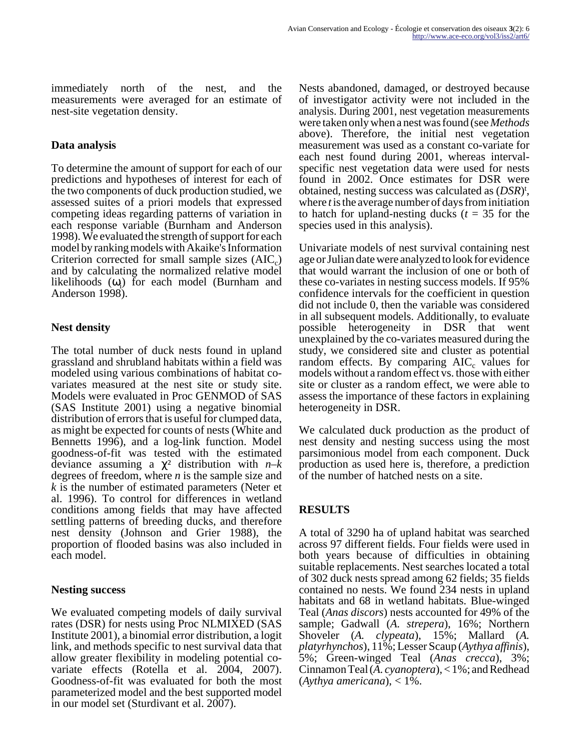immediately north of the nest, and the measurements were averaged for an estimate of nest-site vegetation density.

#### **Data analysis**

To determine the amount of support for each of our predictions and hypotheses of interest for each of the two components of duck production studied, we assessed suites of a priori models that expressed competing ideas regarding patterns of variation in each response variable (Burnham and Anderson 1998). We evaluated the strength of support for each model by ranking models with Akaike's Information Criterion corrected for small sample sizes  $(AIC<sub>c</sub>)$ and by calculating the normalized relative model likelihoods  $(\omega_i)$  for each model (Burnham and Anderson 1998).

## **Nest density**

The total number of duck nests found in upland grassland and shrubland habitats within a field was modeled using various combinations of habitat covariates measured at the nest site or study site. Models were evaluated in Proc GENMOD of SAS (SAS Institute 2001) using a negative binomial distribution of errors that is useful for clumped data, as might be expected for counts of nests (White and Bennetts 1996), and a log-link function. Model goodness-of-fit was tested with the estimated deviance assuming a χ² distribution with *n–k* degrees of freedom, where *n* is the sample size and *k* is the number of estimated parameters (Neter et al. 1996). To control for differences in wetland conditions among fields that may have affected settling patterns of breeding ducks, and therefore nest density (Johnson and Grier 1988), the proportion of flooded basins was also included in each model.

## **Nesting success**

We evaluated competing models of daily survival rates (DSR) for nests using Proc NLMIXED (SAS Institute 2001), a binomial error distribution, a logit link, and methods specific to nest survival data that allow greater flexibility in modeling potential covariate effects (Rotella et al. 2004, 2007). Goodness-of-fit was evaluated for both the most parameterized model and the best supported model in our model set (Sturdivant et al. 2007).

Nests abandoned, damaged, or destroyed because of investigator activity were not included in the analysis. During 2001, nest vegetation measurements were taken only when a nest was found (see *Methods* above). Therefore, the initial nest vegetation measurement was used as a constant co-variate for each nest found during 2001, whereas intervalspecific nest vegetation data were used for nests found in 2002. Once estimates for DSR were obtained, nesting success was calculated as (*DSR*) t , where *t* is the average number of days from initiation to hatch for upland-nesting ducks  $(t = 35$  for the species used in this analysis).

Univariate models of nest survival containing nest age or Julian date were analyzed to look for evidence that would warrant the inclusion of one or both of these co-variates in nesting success models. If 95% confidence intervals for the coefficient in question did not include 0, then the variable was considered in all subsequent models. Additionally, to evaluate possible heterogeneity in DSR that went unexplained by the co-variates measured during the study, we considered site and cluster as potential random effects. By comparing  $AIC_c$  values for models without a random effect vs. those with either site or cluster as a random effect, we were able to assess the importance of these factors in explaining heterogeneity in DSR.

We calculated duck production as the product of nest density and nesting success using the most parsimonious model from each component. Duck production as used here is, therefore, a prediction of the number of hatched nests on a site.

# **RESULTS**

A total of 3290 ha of upland habitat was searched across 97 different fields. Four fields were used in both years because of difficulties in obtaining suitable replacements. Nest searches located a total of 302 duck nests spread among 62 fields; 35 fields contained no nests. We found 234 nests in upland habitats and 68 in wetland habitats. Blue-winged Teal (*Anas discors*) nests accounted for 49% of the sample; Gadwall (*A. strepera*), 16%; Northern Shoveler (*A. clypeata*), 15%; Mallard (*A. platyrhynchos*), 11%; Lesser Scaup (*Aythya affinis*), 5%; Green-winged Teal (*Anas crecca*), 3%; Cinnamon Teal (*A. cyanoptera*), < 1%; and Redhead (*Aythya americana*), < 1%.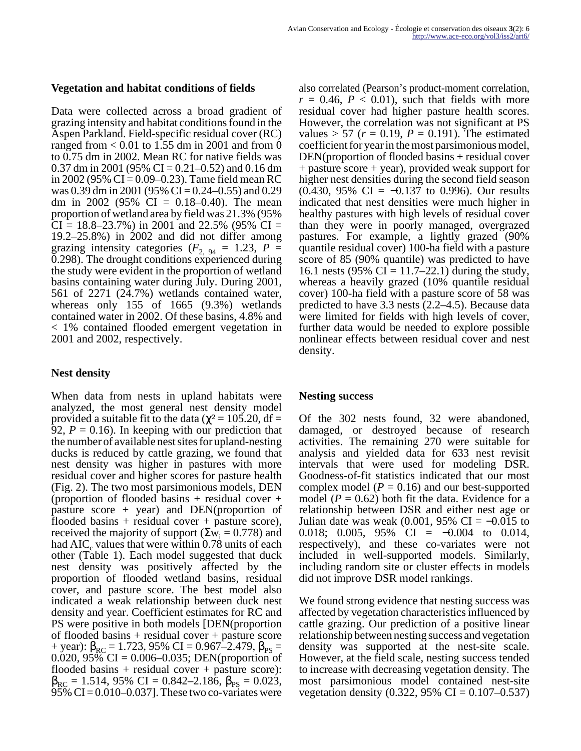#### **Vegetation and habitat conditions of fields**

Data were collected across a broad gradient of grazing intensity and habitat conditions found in the Aspen Parkland. Field-specific residual cover (RC) ranged from  $< 0.01$  to 1.55 dm in 2001 and from 0 to 0.75 dm in 2002. Mean RC for native fields was 0.37 dm in 2001 (95% CI = 0.21–0.52) and 0.16 dm in 2002 (95% CI = 0.09–0.23). Tame field mean RC was 0.39 dm in 2001 (95% CI = 0.24–0.55) and 0.29 dm in 2002 (95% CI =  $0.18-0.40$ ). The mean proportion of wetland area by field was 21.3% (95%  $CI = 18.8 - 23.7\%$ ) in 2001 and 22.5% (95%  $CI =$ 19.2–25.8%) in 2002 and did not differ among grazing intensity categories  $(F_{2, 94} = 1.23, P =$ 0.298). The drought conditions experienced during the study were evident in the proportion of wetland basins containing water during July. During 2001, 561 of 2271 (24.7%) wetlands contained water, whereas only 155 of 1665 (9.3%) wetlands contained water in 2002. Of these basins, 4.8% and < 1% contained flooded emergent vegetation in 2001 and 2002, respectively.

#### **Nest density**

When data from nests in upland habitats were analyzed, the most general nest density model provided a suitable fit to the data ( $\chi^2$  = 105.20, df = 92,  $P = 0.16$ ). In keeping with our prediction that the number of available nest sites for upland-nesting ducks is reduced by cattle grazing, we found that nest density was higher in pastures with more residual cover and higher scores for pasture health (Fig. 2). The two most parsimonious models, DEN (proportion of flooded basins  $+$  residual cover  $+$ pasture score + year) and DEN(proportion of flooded basins  $+$  residual cover  $+$  pasture score), received the majority of support ( $\Sigma w_i = 0.778$ ) and had  $\text{AIC}_\text{c}$  values that were within 0.78 units of each other (Table 1). Each model suggested that duck nest density was positively affected by the proportion of flooded wetland basins, residual cover, and pasture score. The best model also indicated a weak relationship between duck nest density and year. Coefficient estimates for RC and PS were positive in both models [DEN(proportion of flooded basins + residual cover + pasture score + year):  $\beta_{\text{RC}}$  = 1.723, 95% CI = 0.967–2.479,  $\beta_{\text{PS}}$  = 0.020,  $95\%$  CI = 0.006–0.035; DEN(proportion of flooded basins + residual cover + pasture score):  $\beta_{\text{RC}} = 1.514, 95\% \text{ CI} = 0.842 - 2.186, \beta_{\text{PS}} = 0.023,$ 95% CI =  $0.010-0.037$ . These two co-variates were also correlated (Pearson's product-moment correlation,  $r = 0.46$ ,  $P < 0.01$ ), such that fields with more residual cover had higher pasture health scores. However, the correlation was not significant at PS values  $> 57$  ( $r = 0.19$ ,  $P = 0.191$ ). The estimated coefficient for year in the most parsimonious model, DEN(proportion of flooded basins + residual cover + pasture score + year), provided weak support for higher nest densities during the second field season  $(0.430, 95\% \text{ CI} = -0.137 \text{ to } 0.996)$ . Our results indicated that nest densities were much higher in healthy pastures with high levels of residual cover than they were in poorly managed, overgrazed pastures. For example, a lightly grazed (90% quantile residual cover) 100-ha field with a pasture score of 85 (90% quantile) was predicted to have 16.1 nests (95% CI = 11.7–22.1) during the study, whereas a heavily grazed (10% quantile residual cover) 100-ha field with a pasture score of 58 was predicted to have 3.3 nests (2.2–4.5). Because data were limited for fields with high levels of cover, further data would be needed to explore possible nonlinear effects between residual cover and nest density.

#### **Nesting success**

Of the 302 nests found, 32 were abandoned, damaged, or destroyed because of research activities. The remaining 270 were suitable for analysis and yielded data for 633 nest revisit intervals that were used for modeling DSR. Goodness-of-fit statistics indicated that our most complex model  $(P = 0.16)$  and our best-supported model  $(P = 0.62)$  both fit the data. Evidence for a relationship between DSR and either nest age or Julian date was weak  $(0.001, 95\% \text{ CI} = -0.015 \text{ to } 0.01$ 0.018; 0.005, 95% CI =  $-0.004$  to 0.014, respectively), and these co-variates were not included in well-supported models. Similarly, including random site or cluster effects in models did not improve DSR model rankings.

We found strong evidence that nesting success was affected by vegetation characteristics influenced by cattle grazing. Our prediction of a positive linear relationship between nesting success and vegetation density was supported at the nest-site scale. However, at the field scale, nesting success tended to increase with decreasing vegetation density. The most parsimonious model contained nest-site vegetation density  $(0.322, 95\% \text{ CI} = 0.107{\text -}0.537)$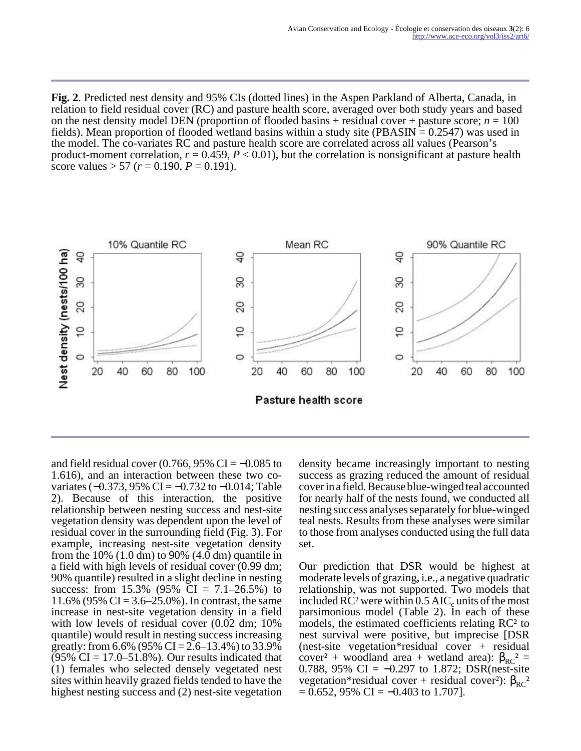**Fig. 2**. Predicted nest density and 95% CIs (dotted lines) in the Aspen Parkland of Alberta, Canada, in relation to field residual cover (RC) and pasture health score, averaged over both study years and based on the nest density model DEN (proportion of flooded basins  $+$  residual cover  $+$  pasture score;  $n = 100$ fields). Mean proportion of flooded wetland basins within a study site (PBASIN  $= 0.2547$ ) was used in the model. The co-variates RC and pasture health score are correlated across all values (Pearson's product-moment correlation,  $r = 0.459$ ,  $P < 0.01$ ), but the correlation is nonsignificant at pasture health score values  $> 57$  ( $r = 0.190$ ,  $P = 0.191$ ).



and field residual cover  $(0.766, 95\% \text{ CI} = -0.085 \text{ to}$ 1.616), and an interaction between these two covariates (−0.373, 95% CI = −0.732 to −0.014; Table 2). Because of this interaction, the positive relationship between nesting success and nest-site vegetation density was dependent upon the level of residual cover in the surrounding field (Fig. 3). For example, increasing nest-site vegetation density from the  $10\%$  (1.0 dm) to 90% (4.0 dm) quantile in a field with high levels of residual cover (0.99 dm; 90% quantile) resulted in a slight decline in nesting success: from 15.3% (95% CI =  $7.1-26.5%$ ) to 11.6% (95% CI =  $3.6 - 25.0$ %). In contrast, the same increase in nest-site vegetation density in a field with low levels of residual cover  $(0.02$  dm; 10% quantile) would result in nesting success increasing greatly: from  $6.6\%$  (95% CI = 2.6–13.4%) to 33.9%  $(95\% \text{ CI} = 17.0 - 51.8\%)$ . Our results indicated that (1) females who selected densely vegetated nest sites within heavily grazed fields tended to have the highest nesting success and (2) nest-site vegetation

density became increasingly important to nesting success as grazing reduced the amount of residual cover in a field. Because blue-winged teal accounted for nearly half of the nests found, we conducted all nesting success analyses separately for blue-winged teal nests. Results from these analyses were similar to those from analyses conducted using the full data set.

Our prediction that DSR would be highest at moderate levels of grazing, i.e., a negative quadratic relationship, was not supported. Two models that included RC<sup>2</sup> were within  $0.5$  AIC<sub>c</sub> units of the most parsimonious model (Table 2). In each of these models, the estimated coefficients relating RC² to nest survival were positive, but imprecise [DSR (nest-site vegetation\*residual cover + residual cover<sup>2</sup> + woodland area + wetland area):  $β<sub>RC</sub><sup>2</sup> =$ 0.788, 95% CI =  $-0.297$  to 1.872; DSR(nest-site vegetation\*residual cover + residual cover<sup>2</sup>):  $\beta_{RC}^2$  $= 0.652, 95\% \text{ CI} = -0.403 \text{ to } 1.707$ .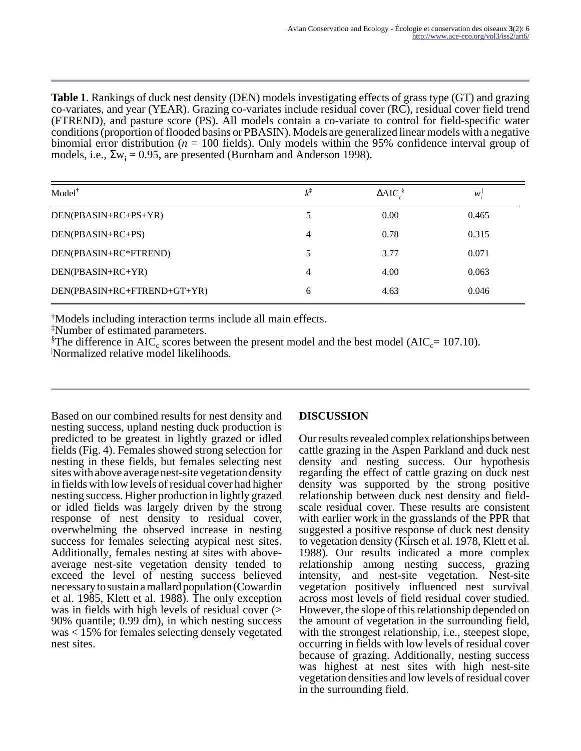**Table 1**. Rankings of duck nest density (DEN) models investigating effects of grass type (GT) and grazing co-variates, and year (YEAR). Grazing co-variates include residual cover (RC), residual cover field trend (FTREND), and pasture score (PS). All models contain a co-variate to control for field-specific water conditions (proportion of flooded basins or PBASIN). Models are generalized linear models with a negative binomial error distribution (*n* = 100 fields). Only models within the 95% confidence interval group of models, i.e.,  $\Sigma w_i = 0.95$ , are presented (Burnham and Anderson 1998).

| $Model^{\dagger}$           | $k^{\ddagger}$ | $\triangle AIC_{c}^{\$}$ | $W_{\cdot}$ |
|-----------------------------|----------------|--------------------------|-------------|
| DEN(PBASIN+RC+PS+YR)        |                | 0.00                     | 0.465       |
| DEN(PBASIN+RC+PS)           | 4              | 0.78                     | 0.315       |
| DEN(PBASIN+RC*FTREND)       | 5              | 3.77                     | 0.071       |
| DEN(PBASIN+RC+YR)           | 4              | 4.00                     | 0.063       |
| DEN(PBASIN+RC+FTREND+GT+YR) | 6              | 4.63                     | 0.046       |

†Models including interaction terms include all main effects.

‡Number of estimated parameters.

<sup>§</sup>The difference in AIC<sub>c</sub> scores between the present model and the best model (AIC<sub>c</sub>= 107.10). <sup>|</sup>Normalized relative model likelihoods.

Based on our combined results for nest density and nesting success, upland nesting duck production is predicted to be greatest in lightly grazed or idled fields (Fig. 4). Females showed strong selection for nesting in these fields, but females selecting nest sites with above average nest-site vegetation density in fields with low levels of residual cover had higher nesting success. Higher production in lightly grazed or idled fields was largely driven by the strong response of nest density to residual cover, overwhelming the observed increase in nesting success for females selecting atypical nest sites. Additionally, females nesting at sites with aboveaverage nest-site vegetation density tended to exceed the level of nesting success believed necessary to sustain a mallard population (Cowardin et al. 1985, Klett et al. 1988). The only exception was in fields with high levels of residual cover (> 90% quantile; 0.99 dm), in which nesting success was < 15% for females selecting densely vegetated nest sites.

# **DISCUSSION**

Our results revealed complex relationships between cattle grazing in the Aspen Parkland and duck nest density and nesting success. Our hypothesis regarding the effect of cattle grazing on duck nest density was supported by the strong positive relationship between duck nest density and fieldscale residual cover. These results are consistent with earlier work in the grasslands of the PPR that suggested a positive response of duck nest density to vegetation density (Kirsch et al. 1978, Klett et al. 1988). Our results indicated a more complex relationship among nesting success, grazing intensity, and nest-site vegetation. Nest-site vegetation positively influenced nest survival across most levels of field residual cover studied. However, the slope of this relationship depended on the amount of vegetation in the surrounding field, with the strongest relationship, i.e., steepest slope, occurring in fields with low levels of residual cover because of grazing. Additionally, nesting success was highest at nest sites with high nest-site vegetation densities and low levels of residual cover in the surrounding field.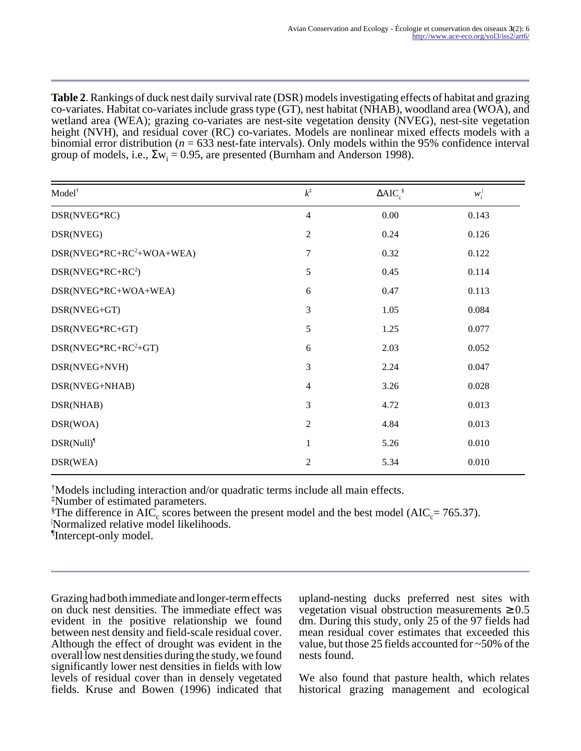**Table 2**. Rankings of duck nest daily survival rate (DSR) models investigating effects of habitat and grazing co-variates. Habitat co-variates include grass type (GT), nest habitat (NHAB), woodland area (WOA), and wetland area (WEA); grazing co-variates are nest-site vegetation density (NVEG), nest-site vegetation height (NVH), and residual cover (RC) co-variates. Models are nonlinear mixed effects models with a binomial error distribution ( $n = 633$  nest-fate intervals). Only models within the 95% confidence interval group of models, i.e.,  $\Sigma w_i = 0.95$ , are presented (Burnham and Anderson 1998).

| Model <sup>†</sup>          | $k^{\ddagger}$ | $\triangle AIC_c^{\S}$ | $W_i^{\perp}$ |
|-----------------------------|----------------|------------------------|---------------|
| DSR(NVEG*RC)                | $\overline{4}$ | 0.00                   | 0.143         |
| DSR(NVEG)                   | $\mathfrak{2}$ | 0.24                   | 0.126         |
| $DSR(NVEG*RC+RC^2+WOA+WEA)$ | 7              | 0.32                   | 0.122         |
| $DSR(NVEG*RC+RC2)$          | $\sqrt{5}$     | 0.45                   | 0.114         |
| DSR(NVEG*RC+WOA+WEA)        | 6              | 0.47                   | 0.113         |
| DSR(NVEG+GT)                | 3              | 1.05                   | 0.084         |
| DSR(NVEG*RC+GT)             | 5              | 1.25                   | 0.077         |
| $DSR(NVEG*RC+RC2+GT)$       | 6              | 2.03                   | 0.052         |
| DSR(NVEG+NVH)               | 3              | 2.24                   | 0.047         |
| DSR(NVEG+NHAB)              | $\overline{4}$ | 3.26                   | 0.028         |
| DSR(NHAB)                   | 3              | 4.72                   | 0.013         |
| DSR(WOA)                    | $\overline{2}$ | 4.84                   | 0.013         |
| $DSR(Null)^{1}$             | $\mathbf{1}$   | 5.26                   | 0.010         |
| DSR(WEA)                    | $\overline{2}$ | 5.34                   | 0.010         |

†Models including interaction and/or quadratic terms include all main effects.

‡Number of estimated parameters.

<sup>§</sup>The difference in AIC<sub>c</sub> scores between the present model and the best model (AIC<sub>c</sub>= 765.37).

<sup>|</sup>Normalized relative model likelihoods.

¶ Intercept-only model.

Grazing had both immediate and longer-term effects on duck nest densities. The immediate effect was evident in the positive relationship we found between nest density and field-scale residual cover. Although the effect of drought was evident in the overall low nest densities during the study, we found significantly lower nest densities in fields with low levels of residual cover than in densely vegetated fields. Kruse and Bowen (1996) indicated that upland-nesting ducks preferred nest sites with vegetation visual obstruction measurements  $\geq 0.5$ dm. During this study, only 25 of the 97 fields had mean residual cover estimates that exceeded this value, but those 25 fields accounted for ~50% of the nests found.

We also found that pasture health, which relates historical grazing management and ecological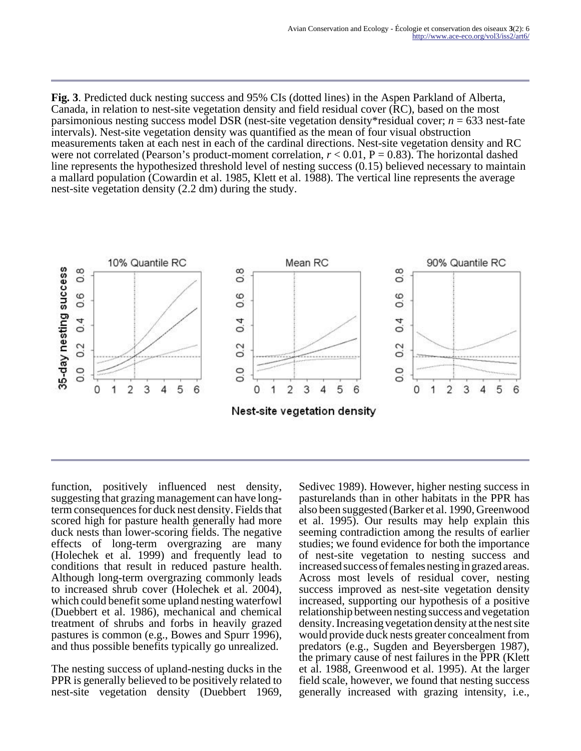**Fig. 3**. Predicted duck nesting success and 95% CIs (dotted lines) in the Aspen Parkland of Alberta, Canada, in relation to nest-site vegetation density and field residual cover (RC), based on the most parsimonious nesting success model DSR (nest-site vegetation density\*residual cover; *n* = 633 nest-fate intervals). Nest-site vegetation density was quantified as the mean of four visual obstruction measurements taken at each nest in each of the cardinal directions. Nest-site vegetation density and RC were not correlated (Pearson's product-moment correlation,  $r < 0.01$ ,  $P = 0.83$ ). The horizontal dashed line represents the hypothesized threshold level of nesting success (0.15) believed necessary to maintain a mallard population (Cowardin et al. 1985, Klett et al. 1988). The vertical line represents the average nest-site vegetation density (2.2 dm) during the study.



function, positively influenced nest density, suggesting that grazing management can have longterm consequences for duck nest density. Fields that scored high for pasture health generally had more duck nests than lower-scoring fields. The negative effects of long-term overgrazing are many (Holechek et al. 1999) and frequently lead to conditions that result in reduced pasture health. Although long-term overgrazing commonly leads to increased shrub cover (Holechek et al. 2004), which could benefit some upland nesting waterfowl (Duebbert et al. 1986), mechanical and chemical treatment of shrubs and forbs in heavily grazed pastures is common (e.g., Bowes and Spurr 1996), and thus possible benefits typically go unrealized.

The nesting success of upland-nesting ducks in the PPR is generally believed to be positively related to nest-site vegetation density (Duebbert 1969,

Sedivec 1989). However, higher nesting success in pasturelands than in other habitats in the PPR has also been suggested (Barker et al. 1990, Greenwood et al. 1995). Our results may help explain this seeming contradiction among the results of earlier studies; we found evidence for both the importance of nest-site vegetation to nesting success and increased success of females nesting in grazed areas. Across most levels of residual cover, nesting success improved as nest-site vegetation density increased, supporting our hypothesis of a positive relationship between nesting success and vegetation density. Increasing vegetation density at the nest site would provide duck nests greater concealment from predators (e.g., Sugden and Beyersbergen 1987), the primary cause of nest failures in the PPR (Klett et al. 1988, Greenwood et al. 1995). At the larger field scale, however, we found that nesting success generally increased with grazing intensity, i.e.,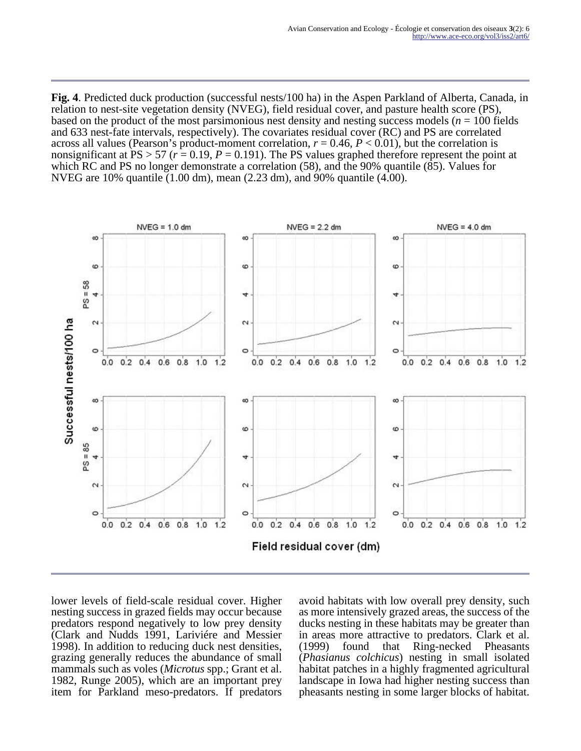**Fig. 4**. Predicted duck production (successful nests/100 ha) in the Aspen Parkland of Alberta, Canada, in relation to nest-site vegetation density (NVEG), field residual cover, and pasture health score (PS), based on the product of the most parsimonious nest density and nesting success models (*n* = 100 fields and 633 nest-fate intervals, respectively). The covariates residual cover (RC) and PS are correlated across all values (Pearson's product-moment correlation,  $r = 0.46$ ,  $P < 0.01$ ), but the correlation is nonsignificant at PS  $> 57$  ( $r = 0.19$ ,  $P = 0.191$ ). The PS values graphed therefore represent the point at which RC and PS no longer demonstrate a correlation (58), and the 90% quantile (85). Values for NVEG are 10% quantile (1.00 dm), mean (2.23 dm), and 90% quantile (4.00).



lower levels of field-scale residual cover. Higher nesting success in grazed fields may occur because predators respond negatively to low prey density (Clark and Nudds 1991, Lariviére and Messier 1998). In addition to reducing duck nest densities, grazing generally reduces the abundance of small mammals such as voles (*Microtus* spp.; Grant et al. 1982, Runge 2005), which are an important prey item for Parkland meso-predators. If predators

avoid habitats with low overall prey density, such as more intensively grazed areas, the success of the ducks nesting in these habitats may be greater than in areas more attractive to predators. Clark et al. (1999) found that Ring-necked Pheasants (*Phasianus colchicus*) nesting in small isolated habitat patches in a highly fragmented agricultural landscape in Iowa had higher nesting success than pheasants nesting in some larger blocks of habitat.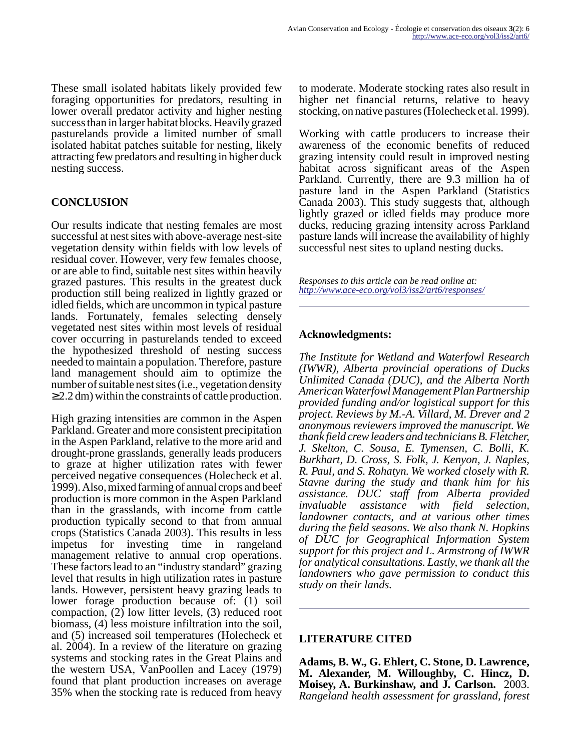These small isolated habitats likely provided few foraging opportunities for predators, resulting in lower overall predator activity and higher nesting success than in larger habitat blocks. Heavily grazed pasturelands provide a limited number of small isolated habitat patches suitable for nesting, likely attracting few predators and resulting in higher duck nesting success.

# **CONCLUSION**

Our results indicate that nesting females are most successful at nest sites with above-average nest-site vegetation density within fields with low levels of residual cover. However, very few females choose, or are able to find, suitable nest sites within heavily grazed pastures. This results in the greatest duck production still being realized in lightly grazed or idled fields, which are uncommon in typical pasture lands. Fortunately, females selecting densely vegetated nest sites within most levels of residual cover occurring in pasturelands tended to exceed the hypothesized threshold of nesting success needed to maintain a population. Therefore, pasture land management should aim to optimize the number of suitable nest sites (i.e., vegetation density  $\geq$  2.2 dm) within the constraints of cattle production.

High grazing intensities are common in the Aspen Parkland. Greater and more consistent precipitation in the Aspen Parkland, relative to the more arid and drought-prone grasslands, generally leads producers to graze at higher utilization rates with fewer perceived negative consequences (Holecheck et al. 1999). Also, mixed farming of annual crops and beef production is more common in the Aspen Parkland than in the grasslands, with income from cattle production typically second to that from annual crops (Statistics Canada 2003). This results in less impetus for investing time in rangeland management relative to annual crop operations. These factors lead to an "industry standard" grazing level that results in high utilization rates in pasture lands. However, persistent heavy grazing leads to lower forage production because of: (1) soil compaction, (2) low litter levels, (3) reduced root biomass, (4) less moisture infiltration into the soil, and (5) increased soil temperatures (Holecheck et al. 2004). In a review of the literature on grazing systems and stocking rates in the Great Plains and the western USA, VanPoollen and Lacey (1979) found that plant production increases on average 35% when the stocking rate is reduced from heavy

to moderate. Moderate stocking rates also result in higher net financial returns, relative to heavy stocking, on native pastures (Holecheck et al. 1999).

Working with cattle producers to increase their awareness of the economic benefits of reduced grazing intensity could result in improved nesting habitat across significant areas of the Aspen Parkland. Currently, there are 9.3 million ha of pasture land in the Aspen Parkland (Statistics Canada 2003). This study suggests that, although lightly grazed or idled fields may produce more ducks, reducing grazing intensity across Parkland pasture lands will increase the availability of highly successful nest sites to upland nesting ducks.

*Responses to this article can be read online at: <http://www.ace-eco.org/vol3/iss2/art6/responses/>*

## **Acknowledgments:**

*The Institute for Wetland and Waterfowl Research (IWWR), Alberta provincial operations of Ducks Unlimited Canada (DUC), and the Alberta North American Waterfowl Management Plan Partnership provided funding and/or logistical support for this project. Reviews by M.-A. Villard, M. Drever and 2 anonymous reviewers improved the manuscript. We thank field crew leaders and technicians B. Fletcher, J. Skelton, C. Sousa, E. Tymensen, C. Bolli, K. Burkhart, D. Cross, S. Folk, J. Kenyon, J. Naples, R. Paul, and S. Rohatyn. We worked closely with R. Stavne during the study and thank him for his assistance. DUC staff from Alberta provided invaluable assistance with field selection, landowner contacts, and at various other times during the field seasons. We also thank N. Hopkins of DUC for Geographical Information System support for this project and L. Armstrong of IWWR for analytical consultations. Lastly, we thank all the landowners who gave permission to conduct this study on their lands.*

## **LITERATURE CITED**

**Adams, B. W., G. Ehlert, C. Stone, D. Lawrence, M. Alexander, M. Willoughby, C. Hincz, D. Moisey, A. Burkinshaw, and J. Carlson.** 2003. *Rangeland health assessment for grassland, forest*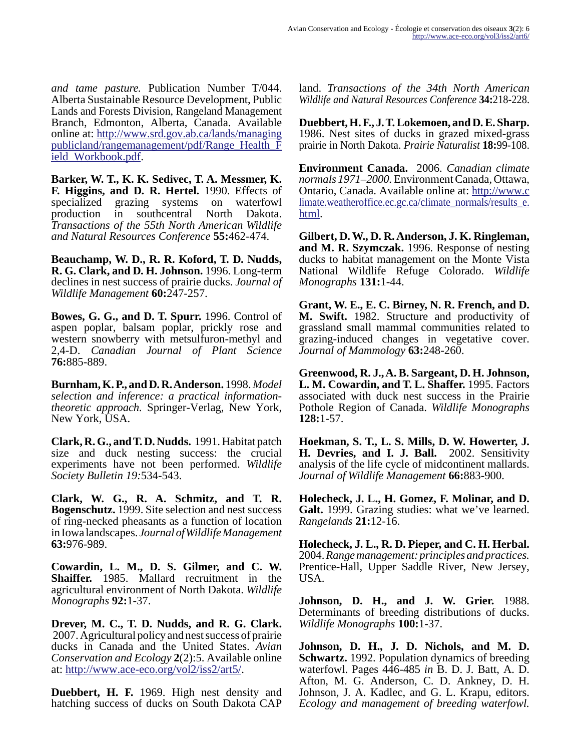*and tame pasture.* Publication Number T/044. Alberta Sustainable Resource Development, Public Lands and Forests Division, Rangeland Management Branch, Edmonton, Alberta, Canada. Available online at: [http://www.srd.gov.ab.ca/lands/managing](http://www.srd.gov.ab.ca/lands/managingpublicland/rangemanagement/pdf/Range_Health_Field_Workbook.pdf) [publicland/rangemanagement/pdf/Range\\_Health\\_F](http://www.srd.gov.ab.ca/lands/managingpublicland/rangemanagement/pdf/Range_Health_Field_Workbook.pdf) [ield\\_Workbook.pdf](http://www.srd.gov.ab.ca/lands/managingpublicland/rangemanagement/pdf/Range_Health_Field_Workbook.pdf).

**Barker, W. T., K. K. Sedivec, T. A. Messmer, K. F. Higgins, and D. R. Hertel.** 1990. Effects of specialized grazing systems on waterfowl production in southcentral North Dakota. *Transactions of the 55th North American Wildlife and Natural Resources Conference* **55:**462-474.

**Beauchamp, W. D., R. R. Koford, T. D. Nudds, R. G. Clark, and D. H. Johnson.** 1996. Long-term declines in nest success of prairie ducks. *Journal of Wildlife Management* **60:**247-257.

**Bowes, G. G., and D. T. Spurr.** 1996. Control of aspen poplar, balsam poplar, prickly rose and western snowberry with metsulfuron-methyl and 2,4-D. *Canadian Journal of Plant Science* **76:**885-889.

**Burnham, K. P., and D. R. Anderson.** 1998. *Model selection and inference: a practical informationtheoretic approach.* Springer-Verlag, New York, New York, USA.

**Clark, R. G., and T. D. Nudds.** 1991. Habitat patch size and duck nesting success: the crucial experiments have not been performed. *Wildlife Society Bulletin 19:*534-543.

**Clark, W. G., R. A. Schmitz, and T. R. Bogenschutz.** 1999. Site selection and nest success of ring-necked pheasants as a function of location in Iowa landscapes. *Journal of Wildlife Management* **63:**976-989.

**Cowardin, L. M., D. S. Gilmer, and C. W. Shaiffer.** 1985. Mallard recruitment in the agricultural environment of North Dakota. *Wildlife Monographs* **92:**1-37.

**Drever, M. C., T. D. Nudds, and R. G. Clark.** 2007. Agricultural policy and nest success of prairie ducks in Canada and the United States. *Avian Conservation and Ecology* **2**(2):5. Available online at:<http://www.ace-eco.org/vol2/iss2/art5/>.

**Duebbert, H. F.** 1969. High nest density and hatching success of ducks on South Dakota CAP land. *Transactions of the 34th North American Wildlife and Natural Resources Conference* **34:**218-228.

**Duebbert, H. F., J. T. Lokemoen, and D. E. Sharp.** 1986. Nest sites of ducks in grazed mixed-grass prairie in North Dakota. *Prairie Naturalist* **18:**99-108.

**Environment Canada.** 2006. *Canadian climate normals 1971–2000.* Environment Canada, Ottawa, Ontario, Canada. Available online at: [http://www.c](http://www.climate.weatheroffice.ec.gc.ca/climate_normals/results_e.html) limate.weatheroffice.ec.gc.ca/climate\_normals/results\_e. [html](http://www.climate.weatheroffice.ec.gc.ca/climate_normals/results_e.html).

**Gilbert, D. W., D. R. Anderson, J. K. Ringleman, and M. R. Szymczak.** 1996. Response of nesting ducks to habitat management on the Monte Vista National Wildlife Refuge Colorado. *Wildlife Monographs* **131:**1-44.

**Grant, W. E., E. C. Birney, N. R. French, and D. M. Swift.** 1982. Structure and productivity of grassland small mammal communities related to grazing-induced changes in vegetative cover. *Journal of Mammology* **63:**248-260.

**Greenwood, R. J., A. B. Sargeant, D. H. Johnson, L. M. Cowardin, and T. L. Shaffer.** 1995. Factors associated with duck nest success in the Prairie Pothole Region of Canada. *Wildlife Monographs* **128:**1-57.

**Hoekman, S. T., L. S. Mills, D. W. Howerter, J. H. Devries, and I. J. Ball.** 2002. Sensitivity analysis of the life cycle of midcontinent mallards. *Journal of Wildlife Management* **66:**883-900.

**Holecheck, J. L., H. Gomez, F. Molinar, and D. Galt.** 1999. Grazing studies: what we've learned. *Rangelands* **21:**12-16.

**Holecheck, J. L., R. D. Pieper, and C. H. Herbal.** 2004. *Range management: principles and practices.* Prentice-Hall, Upper Saddle River, New Jersey, USA.

**Johnson, D. H., and J. W. Grier.** 1988. Determinants of breeding distributions of ducks. *Wildlife Monographs* **100:**1-37.

**Johnson, D. H., J. D. Nichols, and M. D. Schwartz.** 1992. Population dynamics of breeding waterfowl. Pages 446-485 *in* B. D. J. Batt, A. D. Afton, M. G. Anderson, C. D. Ankney, D. H. Johnson, J. A. Kadlec, and G. L. Krapu, editors. *Ecology and management of breeding waterfowl.*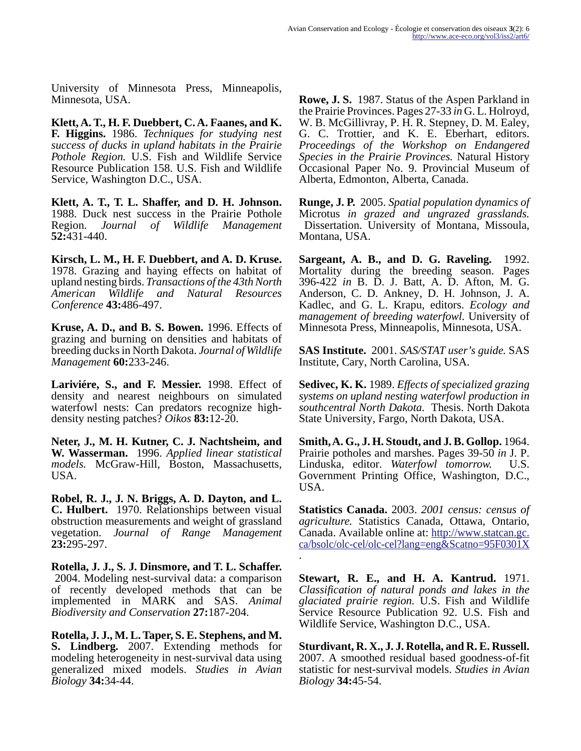University of Minnesota Press, Minneapolis, Minnesota, USA.

**Klett, A. T., H. F. Duebbert, C. A. Faanes, and K. F. Higgins.** 1986. *Techniques for studying nest success of ducks in upland habitats in the Prairie Pothole Region.* U.S. Fish and Wildlife Service Resource Publication 158. U.S. Fish and Wildlife Service, Washington D.C., USA.

**Klett, A. T., T. L. Shaffer, and D. H. Johnson.** 1988. Duck nest success in the Prairie Pothole Region. *Journal of Wildlife Management* **52:**431-440.

**Kirsch, L. M., H. F. Duebbert, and A. D. Kruse.** 1978. Grazing and haying effects on habitat of upland nesting birds. *Transactions of the 43th North American Wildlife and Natural Resources Conference* **43:**486-497.

**Kruse, A. D., and B. S. Bowen.** 1996. Effects of grazing and burning on densities and habitats of breeding ducks in North Dakota. *Journal of Wildlife Management* **60:**233-246.

**Lariviére, S., and F. Messier.** 1998. Effect of density and nearest neighbours on simulated waterfowl nests: Can predators recognize highdensity nesting patches? *Oikos* **83:**12-20.

**Neter, J., M. H. Kutner, C. J. Nachtsheim, and W. Wasserman.** 1996. *Applied linear statistical models.* McGraw-Hill, Boston, Massachusetts, USA.

**Robel, R. J., J. N. Briggs, A. D. Dayton, and L. C. Hulbert.** 1970. Relationships between visual obstruction measurements and weight of grassland vegetation. *Journal of Range Management* **23:**295-297.

**Rotella, J. J., S. J. Dinsmore, and T. L. Schaffer.** 2004. Modeling nest-survival data: a comparison of recently developed methods that can be implemented in MARK and SAS. *Animal Biodiversity and Conservation* **27:**187-204.

**Rotella, J. J., M. L. Taper, S. E. Stephens, and M. S. Lindberg.** 2007. Extending methods for modeling heterogeneity in nest-survival data using generalized mixed models. *Studies in Avian Biology* **34:**34-44.

**Rowe, J. S.** 1987. Status of the Aspen Parkland in the Prairie Provinces. Pages 27-33 *in* G. L. Holroyd, W. B. McGillivray, P. H. R. Stepney, D. M. Ealey, G. C. Trottier, and K. E. Eberhart, editors. *Proceedings of the Workshop on Endangered Species in the Prairie Provinces.* Natural History Occasional Paper No. 9. Provincial Museum of Alberta, Edmonton, Alberta, Canada.

**Runge, J. P.** 2005. *Spatial population dynamics of* Microtus *in grazed and ungrazed grasslands.* Dissertation. University of Montana, Missoula, Montana, USA.

**Sargeant, A. B., and D. G. Raveling.** 1992. Mortality during the breeding season. Pages 396-422 *in* B. D. J. Batt, A. D. Afton, M. G. Anderson, C. D. Ankney, D. H. Johnson, J. A. Kadlec, and G. L. Krapu, editors. *Ecology and management of breeding waterfowl.* University of Minnesota Press, Minneapolis, Minnesota, USA.

**SAS Institute.** 2001. *SAS/STAT user's guide.* SAS Institute, Cary, North Carolina, USA.

**Sedivec, K. K.** 1989. *Effects of specialized grazing systems on upland nesting waterfowl production in southcentral North Dakota.* Thesis. North Dakota State University, Fargo, North Dakota, USA.

**Smith, A. G., J. H. Stoudt, and J. B. Gollop.** 1964. Prairie potholes and marshes. Pages 39-50 *in* J. P. Linduska, editor. *Waterfowl tomorrow.* U.S. Government Printing Office, Washington, D.C., USA.

**Statistics Canada.** 2003. *2001 census: census of agriculture.* Statistics Canada, Ottawa, Ontario, Canada. Available online at: [http://www.statcan.gc.](http://www.statcan.gc.ca/bsolc/olc-cel/olc-cel?lang=engcatno=95F0301X) [ca/bsolc/olc-cel/olc-cel?lang=eng&Scatno=95F0301X](http://www.statcan.gc.ca/bsolc/olc-cel/olc-cel?lang=engcatno=95F0301X) .

**Stewart, R. E., and H. A. Kantrud.** 1971. *Classification of natural ponds and lakes in the glaciated prairie region.* U.S. Fish and Wildlife Service Resource Publication 92. U.S. Fish and Wildlife Service, Washington D.C., USA.

**Sturdivant, R. X., J. J. Rotella, and R. E. Russell.** 2007. A smoothed residual based goodness-of-fit statistic for nest-survival models. *Studies in Avian Biology* **34:**45-54.